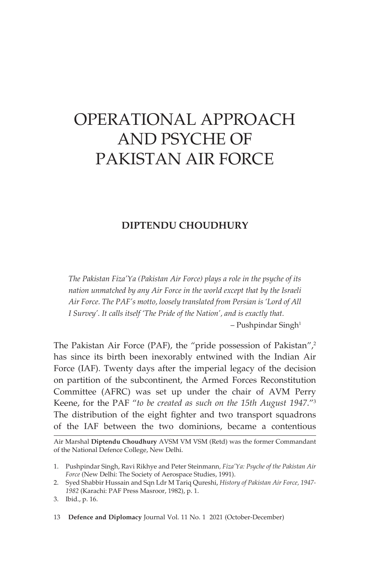# OPERATIONAL APPROACH AND PSYCHE OF PAKISTAN AIR FORCE

# **DIPTENDU CHOUDHURY**

*The Pakistan Fiza'Ya (Pakistan Air Force) plays a role in the psyche of its nation unmatched by any Air Force in the world except that by the Israeli Air Force. The PAF's motto, loosely translated from Persian is 'Lord of All I Survey'. It calls itself 'The Pride of the Nation', and is exactly that.*

 $-$  Pushpindar Singh<sup>1</sup>

The Pakistan Air Force (PAF), the "pride possession of Pakistan",<sup>2</sup> has since its birth been inexorably entwined with the Indian Air Force (IAF). Twenty days after the imperial legacy of the decision on partition of the subcontinent, the Armed Forces Reconstitution Committee (AFRC) was set up under the chair of AVM Perry Keene, for the PAF "*to be created as such on the 15th August 1947*."3 The distribution of the eight fighter and two transport squadrons of the IAF between the two dominions, became a contentious

Air Marshal **Diptendu Choudhury** AVSM VM VSM (Retd) was the former Commandant of the National Defence College, New Delhi.

13 **Defence and Diplomacy** Journal Vol. 11 No. 1 2021 (October-December)

<sup>1.</sup> Pushpindar Singh, Ravi Rikhye and Peter Steinmann*, Fiza'Ya: Psyche of the Pakistan Air Force* (New Delhi: The Society of Aerospace Studies, 1991).

<sup>2.</sup> Syed Shabbir Hussain and Sqn Ldr M Tariq Qureshi, *History of Pakistan Air Force, 1947- 1982* (Karachi: PAF Press Masroor, 1982), p. 1.

<sup>3.</sup> Ibid., p. 16.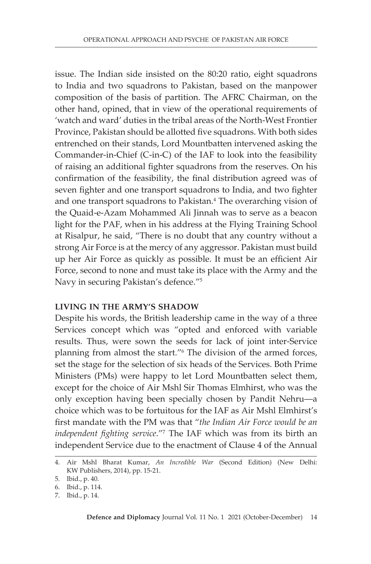issue. The Indian side insisted on the 80:20 ratio, eight squadrons to India and two squadrons to Pakistan, based on the manpower composition of the basis of partition. The AFRC Chairman, on the other hand, opined, that in view of the operational requirements of 'watch and ward' duties in the tribal areas of the North-West Frontier Province, Pakistan should be allotted five squadrons. With both sides entrenched on their stands, Lord Mountbatten intervened asking the Commander-in-Chief (C-in-C) of the IAF to look into the feasibility of raising an additional fighter squadrons from the reserves. On his confirmation of the feasibility, the final distribution agreed was of seven fighter and one transport squadrons to India, and two fighter and one transport squadrons to Pakistan.<sup>4</sup> The overarching vision of the Quaid-e-Azam Mohammed Ali Jinnah was to serve as a beacon light for the PAF, when in his address at the Flying Training School at Risalpur, he said, "There is no doubt that any country without a strong Air Force is at the mercy of any aggressor. Pakistan must build up her Air Force as quickly as possible. It must be an efficient Air Force, second to none and must take its place with the Army and the Navy in securing Pakistan's defence."5

# **LIVING IN THE ARMY'S SHADOW**

Despite his words, the British leadership came in the way of a three Services concept which was "opted and enforced with variable results. Thus, were sown the seeds for lack of joint inter-Service planning from almost the start."6 The division of the armed forces, set the stage for the selection of six heads of the Services. Both Prime Ministers (PMs) were happy to let Lord Mountbatten select them, except for the choice of Air Mshl Sir Thomas Elmhirst, who was the only exception having been specially chosen by Pandit Nehru—a choice which was to be fortuitous for the IAF as Air Mshl Elmhirst's first mandate with the PM was that "*the Indian Air Force would be an independent fighting service*."7 The IAF which was from its birth an independent Service due to the enactment of Clause 4 of the Annual

<sup>4.</sup> Air Mshl Bharat Kumar, *An Incredible War* (Second Edition) (New Delhi: KW Publishers, 2014), pp. 15-21.

<sup>5.</sup> Ibid., p. 40.

<sup>6.</sup> Ibid., p. 114.

<sup>7.</sup> Ibid., p. 14.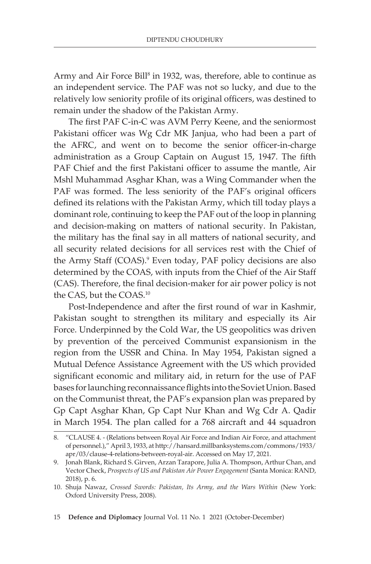Army and Air Force Bill<sup>8</sup> in 1932, was, therefore, able to continue as an independent service. The PAF was not so lucky, and due to the relatively low seniority profile of its original officers, was destined to remain under the shadow of the Pakistan Army.

The first PAF C-in-C was AVM Perry Keene, and the seniormost Pakistani officer was Wg Cdr MK Janjua, who had been a part of the AFRC, and went on to become the senior officer-in-charge administration as a Group Captain on August 15, 1947. The fifth PAF Chief and the first Pakistani officer to assume the mantle, Air Mshl Muhammad Asghar Khan, was a Wing Commander when the PAF was formed. The less seniority of the PAF's original officers defined its relations with the Pakistan Army, which till today plays a dominant role, continuing to keep the PAF out of the loop in planning and decision-making on matters of national security. In Pakistan, the military has the final say in all matters of national security, and all security related decisions for all services rest with the Chief of the Army Staff (COAS).<sup>9</sup> Even today, PAF policy decisions are also determined by the COAS, with inputs from the Chief of the Air Staff (CAS). Therefore, the final decision-maker for air power policy is not the CAS, but the COAS.<sup>10</sup>

Post-Independence and after the first round of war in Kashmir, Pakistan sought to strengthen its military and especially its Air Force. Underpinned by the Cold War, the US geopolitics was driven by prevention of the perceived Communist expansionism in the region from the USSR and China. In May 1954, Pakistan signed a Mutual Defence Assistance Agreement with the US which provided significant economic and military aid, in return for the use of PAF bases for launching reconnaissance flights into the Soviet Union. Based on the Communist threat, the PAF's expansion plan was prepared by Gp Capt Asghar Khan, Gp Capt Nur Khan and Wg Cdr A. Qadir in March 1954. The plan called for a 768 aircraft and 44 squadron

<sup>8.</sup> "CLAUSE 4. - (Relations between Royal Air Force and Indian Air Force, and attachment of personnel.)," April 3, 1933, at http://hansard.millbanksystems.com/commons/1933/ apr/03/clause-4-relations-between-royal-air. Accessed on May 17, 2021.

<sup>9.</sup> Jonah Blank, Richard S. Girven, Arzan Tarapore, Julia A. Thompson, Arthur Chan, and Vector Check, *Prospects of US and Pakistan Air Power Engagement* (Santa Monica: RAND, 2018), p. 6.

<sup>10.</sup> Shuja Nawaz, *Crossed Swords: Pakistan, Its Army, and the Wars Within* (New York: Oxford University Press, 2008).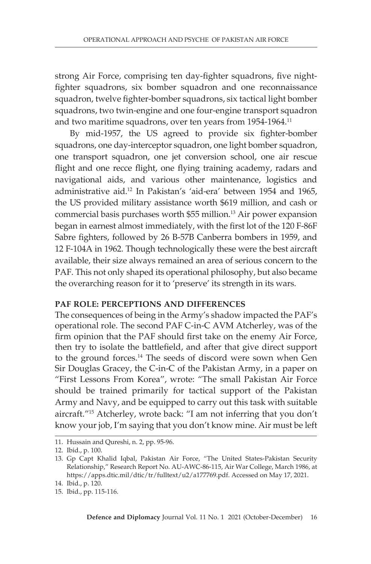strong Air Force, comprising ten day-fighter squadrons, five nightfighter squadrons, six bomber squadron and one reconnaissance squadron, twelve fighter-bomber squadrons, six tactical light bomber squadrons, two twin-engine and one four-engine transport squadron and two maritime squadrons, over ten years from 1954-1964.11

By mid-1957, the US agreed to provide six fighter-bomber squadrons, one day-interceptor squadron, one light bomber squadron, one transport squadron, one jet conversion school, one air rescue flight and one recce flight, one flying training academy, radars and navigational aids, and various other maintenance, logistics and administrative aid.12 In Pakistan's 'aid-era' between 1954 and 1965, the US provided military assistance worth \$619 million, and cash or commercial basis purchases worth \$55 million.13 Air power expansion began in earnest almost immediately, with the first lot of the 120 F-86F Sabre fighters, followed by 26 B-57B Canberra bombers in 1959, and 12 F-104A in 1962. Though technologically these were the best aircraft available, their size always remained an area of serious concern to the PAF. This not only shaped its operational philosophy, but also became the overarching reason for it to 'preserve' its strength in its wars.

# **PAF ROLE: PERCEPTIONS AND DIFFERENCES**

The consequences of being in the Army's shadow impacted the PAF's operational role. The second PAF C-in-C AVM Atcherley, was of the firm opinion that the PAF should first take on the enemy Air Force, then try to isolate the battlefield, and after that give direct support to the ground forces.<sup>14</sup> The seeds of discord were sown when Gen Sir Douglas Gracey, the C-in-C of the Pakistan Army, in a paper on "First Lessons From Korea", wrote: "The small Pakistan Air Force should be trained primarily for tactical support of the Pakistan Army and Navy, and be equipped to carry out this task with suitable aircraft."15 Atcherley, wrote back: "I am not inferring that you don't know your job, I'm saying that you don't know mine. Air must be left

<sup>11.</sup> Hussain and Qureshi, n. 2, pp. 95-96.

<sup>12.</sup> Ibid., p. 100.

<sup>13.</sup> Gp Capt Khalid Iqbal, Pakistan Air Force, "The United States-Pakistan Security Relationship," Research Report No. AU-AWC-86-115, Air War College, March 1986, at https://apps.dtic.mil/dtic/tr/fulltext/u2/a177769.pdf. Accessed on May 17, 2021.

<sup>14.</sup> Ibid., p. 120.

<sup>15.</sup> Ibid., pp. 115-116.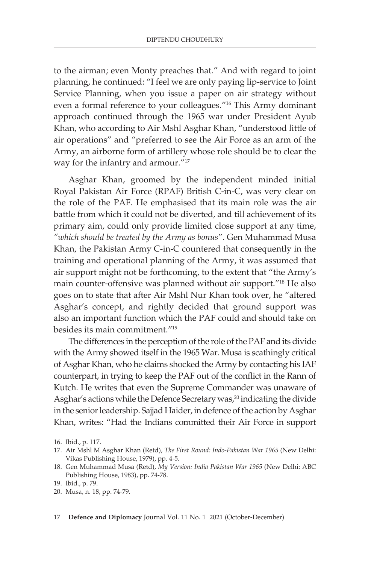to the airman; even Monty preaches that." And with regard to joint planning, he continued: "I feel we are only paying lip-service to Joint Service Planning, when you issue a paper on air strategy without even a formal reference to your colleagues."16 This Army dominant approach continued through the 1965 war under President Ayub Khan, who according to Air Mshl Asghar Khan, "understood little of air operations" and "preferred to see the Air Force as an arm of the Army, an airborne form of artillery whose role should be to clear the way for the infantry and armour."17

Asghar Khan, groomed by the independent minded initial Royal Pakistan Air Force (RPAF) British C-in-C, was very clear on the role of the PAF. He emphasised that its main role was the air battle from which it could not be diverted, and till achievement of its primary aim, could only provide limited close support at any time, *"which should be treated by the Army as bonus*". Gen Muhammad Musa Khan, the Pakistan Army C-in-C countered that consequently in the training and operational planning of the Army, it was assumed that air support might not be forthcoming, to the extent that "the Army's main counter-offensive was planned without air support."18 He also goes on to state that after Air Mshl Nur Khan took over, he "altered Asghar's concept, and rightly decided that ground support was also an important function which the PAF could and should take on besides its main commitment."19

The differences in the perception of the role of the PAF and its divide with the Army showed itself in the 1965 War. Musa is scathingly critical of Asghar Khan, who he claims shocked the Army by contacting his IAF counterpart, in trying to keep the PAF out of the conflict in the Rann of Kutch. He writes that even the Supreme Commander was unaware of Asghar's actions while the Defence Secretary was,<sup>20</sup> indicating the divide in the senior leadership. Sajjad Haider, in defence of the action by Asghar Khan, writes: "Had the Indians committed their Air Force in support

<sup>16.</sup> Ibid., p. 117.

<sup>17.</sup> Air Mshl M Asghar Khan (Retd), *The First Round: Indo-Pakistan War 1965* (New Delhi: Vikas Publishing House, 1979), pp. 4-5.

<sup>18.</sup> Gen Muhammad Musa (Retd), *My Version: India Pakistan War 1965* (New Delhi: ABC Publishing House, 1983), pp. 74-78.

<sup>19.</sup> Ibid., p. 79.

<sup>20.</sup> Musa, n. 18, pp. 74-79.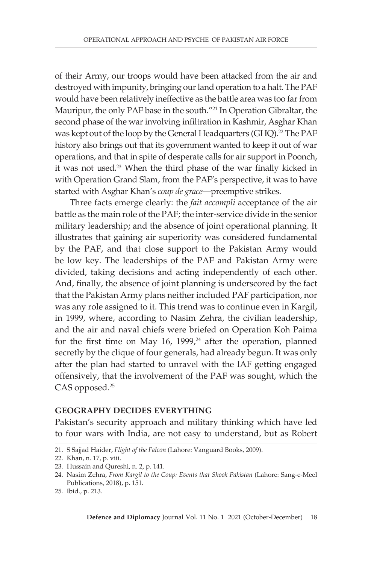of their Army, our troops would have been attacked from the air and destroyed with impunity, bringing our land operation to a halt. The PAF would have been relatively ineffective as the battle area was too far from Mauripur, the only PAF base in the south."21 In Operation Gibraltar, the second phase of the war involving infiltration in Kashmir, Asghar Khan was kept out of the loop by the General Headquarters (GHQ).<sup>22</sup> The PAF history also brings out that its government wanted to keep it out of war operations, and that in spite of desperate calls for air support in Poonch, it was not used.<sup>23</sup> When the third phase of the war finally kicked in with Operation Grand Slam, from the PAF's perspective, it was to have started with Asghar Khan's *coup de grace*—preemptive strikes.

Three facts emerge clearly: the *fait accompli* acceptance of the air battle as the main role of the PAF; the inter-service divide in the senior military leadership; and the absence of joint operational planning. It illustrates that gaining air superiority was considered fundamental by the PAF, and that close support to the Pakistan Army would be low key. The leaderships of the PAF and Pakistan Army were divided, taking decisions and acting independently of each other. And, finally, the absence of joint planning is underscored by the fact that the Pakistan Army plans neither included PAF participation, nor was any role assigned to it. This trend was to continue even in Kargil, in 1999, where, according to Nasim Zehra, the civilian leadership, and the air and naval chiefs were briefed on Operation Koh Paima for the first time on May 16, 1999, $24$  after the operation, planned secretly by the clique of four generals, had already begun. It was only after the plan had started to unravel with the IAF getting engaged offensively, that the involvement of the PAF was sought, which the CAS opposed.<sup>25</sup>

#### **GEOGRAPHY DECIDES EVERYTHING**

Pakistan's security approach and military thinking which have led to four wars with India, are not easy to understand, but as Robert

<sup>21.</sup> S Sajjad Haider, *Flight of the Falcon* (Lahore: Vanguard Books, 2009).

<sup>22.</sup> Khan, n. 17, p. viii.

<sup>23.</sup> Hussain and Qureshi, n. 2, p. 141.

<sup>24.</sup> Nasim Zehra, *From Kargil to the Coup: Events that Shook Pakistan* (Lahore: Sang-e-Meel Publications, 2018), p. 151.

<sup>25.</sup> Ibid., p. 213.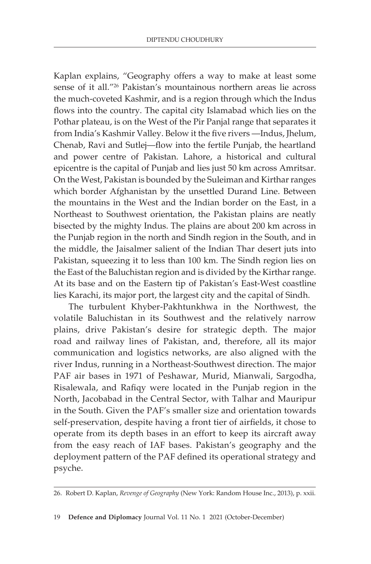Kaplan explains, "Geography offers a way to make at least some sense of it all."26 Pakistan's mountainous northern areas lie across the much-coveted Kashmir, and is a region through which the Indus flows into the country. The capital city Islamabad which lies on the Pothar plateau, is on the West of the Pir Panjal range that separates it from India's Kashmir Valley. Below it the five rivers —Indus, Jhelum, Chenab, Ravi and Sutlej—flow into the fertile Punjab, the heartland and power centre of Pakistan. Lahore, a historical and cultural epicentre is the capital of Punjab and lies just 50 km across Amritsar. On the West, Pakistan is bounded by the Suleiman and Kirthar ranges which border Afghanistan by the unsettled Durand Line. Between the mountains in the West and the Indian border on the East, in a Northeast to Southwest orientation, the Pakistan plains are neatly bisected by the mighty Indus. The plains are about 200 km across in the Punjab region in the north and Sindh region in the South, and in the middle, the Jaisalmer salient of the Indian Thar desert juts into Pakistan, squeezing it to less than 100 km. The Sindh region lies on the East of the Baluchistan region and is divided by the Kirthar range. At its base and on the Eastern tip of Pakistan's East-West coastline lies Karachi, its major port, the largest city and the capital of Sindh.

The turbulent Khyber-Pakhtunkhwa in the Northwest, the volatile Baluchistan in its Southwest and the relatively narrow plains, drive Pakistan's desire for strategic depth. The major road and railway lines of Pakistan, and, therefore, all its major communication and logistics networks, are also aligned with the river Indus, running in a Northeast-Southwest direction. The major PAF air bases in 1971 of Peshawar, Murid, Mianwali, Sargodha, Risalewala, and Rafiqy were located in the Punjab region in the North, Jacobabad in the Central Sector, with Talhar and Mauripur in the South. Given the PAF's smaller size and orientation towards self-preservation, despite having a front tier of airfields, it chose to operate from its depth bases in an effort to keep its aircraft away from the easy reach of IAF bases. Pakistan's geography and the deployment pattern of the PAF defined its operational strategy and psyche.

<sup>26.</sup> Robert D. Kaplan, *Revenge of Geography* (New York: Random House Inc., 2013), p. xxii.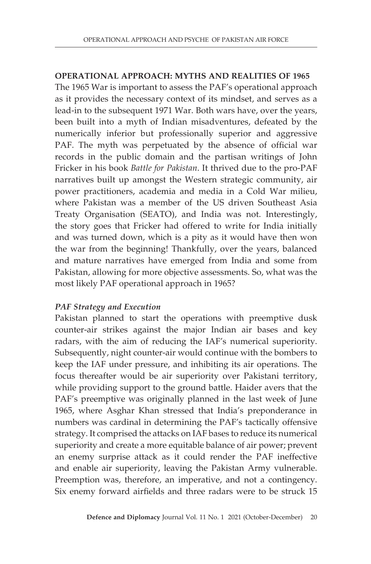## **OPERATIONAL APPROACH: MYTHS AND REALITIES OF 1965**

The 1965 War is important to assess the PAF's operational approach as it provides the necessary context of its mindset, and serves as a lead-in to the subsequent 1971 War. Both wars have, over the years, been built into a myth of Indian misadventures, defeated by the numerically inferior but professionally superior and aggressive PAF. The myth was perpetuated by the absence of official war records in the public domain and the partisan writings of John Fricker in his book *Battle for Pakistan*. It thrived due to the pro-PAF narratives built up amongst the Western strategic community, air power practitioners, academia and media in a Cold War milieu, where Pakistan was a member of the US driven Southeast Asia Treaty Organisation (SEATO), and India was not. Interestingly, the story goes that Fricker had offered to write for India initially and was turned down, which is a pity as it would have then won the war from the beginning! Thankfully, over the years, balanced and mature narratives have emerged from India and some from Pakistan, allowing for more objective assessments. So, what was the most likely PAF operational approach in 1965?

# *PAF Strategy and Execution*

Pakistan planned to start the operations with preemptive dusk counter-air strikes against the major Indian air bases and key radars, with the aim of reducing the IAF's numerical superiority. Subsequently, night counter-air would continue with the bombers to keep the IAF under pressure, and inhibiting its air operations. The focus thereafter would be air superiority over Pakistani territory, while providing support to the ground battle. Haider avers that the PAF's preemptive was originally planned in the last week of June 1965, where Asghar Khan stressed that India's preponderance in numbers was cardinal in determining the PAF's tactically offensive strategy. It comprised the attacks on IAF bases to reduce its numerical superiority and create a more equitable balance of air power; prevent an enemy surprise attack as it could render the PAF ineffective and enable air superiority, leaving the Pakistan Army vulnerable. Preemption was, therefore, an imperative, and not a contingency. Six enemy forward airfields and three radars were to be struck 15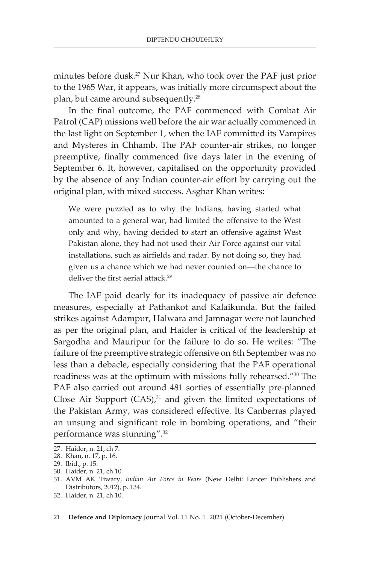minutes before dusk.27 Nur Khan, who took over the PAF just prior to the 1965 War, it appears, was initially more circumspect about the plan, but came around subsequently.28

In the final outcome, the PAF commenced with Combat Air Patrol (CAP) missions well before the air war actually commenced in the last light on September 1, when the IAF committed its Vampires and Mysteres in Chhamb. The PAF counter-air strikes, no longer preemptive, finally commenced five days later in the evening of September 6. It, however, capitalised on the opportunity provided by the absence of any Indian counter-air effort by carrying out the original plan, with mixed success. Asghar Khan writes:

We were puzzled as to why the Indians, having started what amounted to a general war, had limited the offensive to the West only and why, having decided to start an offensive against West Pakistan alone, they had not used their Air Force against our vital installations, such as airfields and radar. By not doing so, they had given us a chance which we had never counted on—the chance to deliver the first aerial attack.<sup>29</sup>

The IAF paid dearly for its inadequacy of passive air defence measures, especially at Pathankot and Kalaikunda. But the failed strikes against Adampur, Halwara and Jamnagar were not launched as per the original plan, and Haider is critical of the leadership at Sargodha and Mauripur for the failure to do so. He writes: "The failure of the preemptive strategic offensive on 6th September was no less than a debacle, especially considering that the PAF operational readiness was at the optimum with missions fully rehearsed."30 The PAF also carried out around 481 sorties of essentially pre-planned Close Air Support  $(CAS)$ , $31$  and given the limited expectations of the Pakistan Army, was considered effective. Its Canberras played an unsung and significant role in bombing operations, and "their performance was stunning".32

<sup>27.</sup> Haider, n. 21, ch 7.

<sup>28.</sup> Khan, n. 17, p. 16.

<sup>29.</sup> Ibid., p. 15.

<sup>30.</sup> Haider, n. 21, ch 10.

<sup>31.</sup> AVM AK Tiwary, *Indian Air Force in Wars* (New Delhi: Lancer Publishers and Distributors, 2012), p. 134.

<sup>32.</sup> Haider, n. 21, ch 10.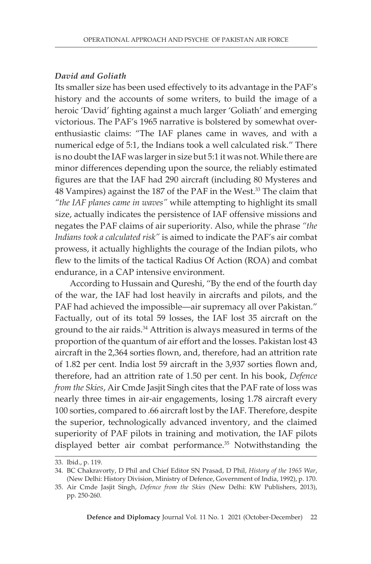## *David and Goliath*

Its smaller size has been used effectively to its advantage in the PAF's history and the accounts of some writers, to build the image of a heroic 'David' fighting against a much larger 'Goliath' and emerging victorious. The PAF's 1965 narrative is bolstered by somewhat overenthusiastic claims: "The IAF planes came in waves, and with a numerical edge of 5:1, the Indians took a well calculated risk." There is no doubt the IAF was larger in size but 5:1 it was not. While there are minor differences depending upon the source, the reliably estimated figures are that the IAF had 290 aircraft (including 80 Mysteres and 48 Vampires) against the 187 of the PAF in the West.<sup>33</sup> The claim that *"the IAF planes came in waves"* while attempting to highlight its small size, actually indicates the persistence of IAF offensive missions and negates the PAF claims of air superiority. Also, while the phrase *"the Indians took a calculated risk"* is aimed to indicate the PAF's air combat prowess, it actually highlights the courage of the Indian pilots, who flew to the limits of the tactical Radius Of Action (ROA) and combat endurance, in a CAP intensive environment.

According to Hussain and Qureshi, "By the end of the fourth day of the war, the IAF had lost heavily in aircrafts and pilots, and the PAF had achieved the impossible—air supremacy all over Pakistan." Factually, out of its total 59 losses, the IAF lost 35 aircraft on the ground to the air raids.<sup>34</sup> Attrition is always measured in terms of the proportion of the quantum of air effort and the losses. Pakistan lost 43 aircraft in the 2,364 sorties flown, and, therefore, had an attrition rate of 1.82 per cent. India lost 59 aircraft in the 3,937 sorties flown and, therefore, had an attrition rate of 1.50 per cent. In his book, *Defence from the Skies*, Air Cmde Jasjit Singh cites that the PAF rate of loss was nearly three times in air-air engagements, losing 1.78 aircraft every 100 sorties, compared to .66 aircraft lost by the IAF. Therefore, despite the superior, technologically advanced inventory, and the claimed superiority of PAF pilots in training and motivation, the IAF pilots displayed better air combat performance.<sup>35</sup> Notwithstanding the

<sup>33.</sup> Ibid., p. 119.

<sup>34.</sup> BC Chakravorty, D Phil and Chief Editor SN Prasad, D Phil, *History of the 1965 War*, (New Delhi: History Division, Ministry of Defence, Government of India, 1992), p. 170.

<sup>35.</sup> Air Cmde Jasjit Singh, *Defence from the Skies* (New Delhi: KW Publishers, 2013), pp. 250-260.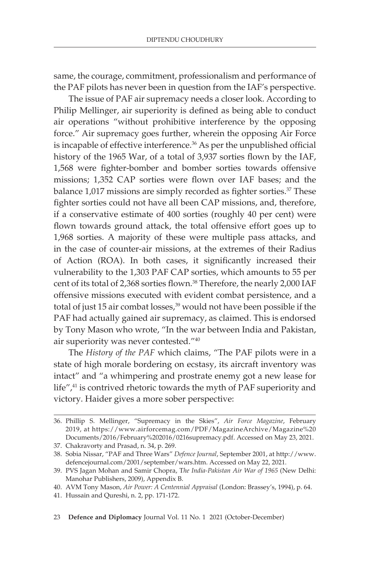same, the courage, commitment, professionalism and performance of the PAF pilots has never been in question from the IAF's perspective.

The issue of PAF air supremacy needs a closer look. According to Philip Mellinger, air superiority is defined as being able to conduct air operations "without prohibitive interference by the opposing force." Air supremacy goes further, wherein the opposing Air Force is incapable of effective interference.<sup>36</sup> As per the unpublished official history of the 1965 War, of a total of 3,937 sorties flown by the IAF, 1,568 were fighter-bomber and bomber sorties towards offensive missions; 1,352 CAP sorties were flown over IAF bases; and the balance 1,017 missions are simply recorded as fighter sorties.<sup>37</sup> These fighter sorties could not have all been CAP missions, and, therefore, if a conservative estimate of 400 sorties (roughly 40 per cent) were flown towards ground attack, the total offensive effort goes up to 1,968 sorties. A majority of these were multiple pass attacks, and in the case of counter-air missions, at the extremes of their Radius of Action (ROA). In both cases, it significantly increased their vulnerability to the 1,303 PAF CAP sorties, which amounts to 55 per cent of its total of 2,368 sorties flown.<sup>38</sup> Therefore, the nearly 2,000 IAF offensive missions executed with evident combat persistence, and a total of just 15 air combat losses,<sup>39</sup> would not have been possible if the PAF had actually gained air supremacy, as claimed. This is endorsed by Tony Mason who wrote, "In the war between India and Pakistan, air superiority was never contested."40

The *History of the PAF* which claims, "The PAF pilots were in a state of high morale bordering on ecstasy, its aircraft inventory was intact" and "a whimpering and prostrate enemy got a new lease for life",<sup>41</sup> is contrived rhetoric towards the myth of PAF superiority and victory. Haider gives a more sober perspective:

<sup>36.</sup> Phillip S. Mellinger, "Supremacy in the Skies", *Air Force Magazine*, February 2019, at https://www.airforcemag.com/PDF/MagazineArchive/Magazine%20 Documents/2016/February%202016/0216supremacy.pdf. Accessed on May 23, 2021.

<sup>37.</sup> Chakravorty and Prasad, n. 34, p. 269.

<sup>38.</sup> Sobia Nissar, "PAF and Three Wars" *Defence Journal*, September 2001, at http://www. defencejournal.com/2001/september/wars.htm. Accessed on May 22, 2021.

<sup>39.</sup> PVS Jagan Mohan and Samir Chopra, T*he India-Pakistan Air War of 1965* (New Delhi: Manohar Publishers, 2009), Appendix B.

<sup>40.</sup> AVM Tony Mason, *Air Power: A Centennial Appraisal* (London: Brassey's, 1994), p. 64.

<sup>41.</sup> Hussain and Qureshi, n. 2, pp. 171-172.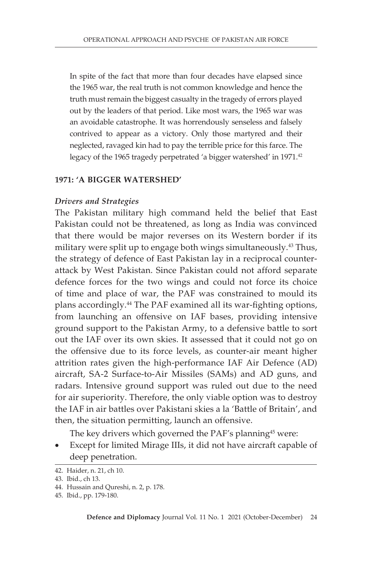In spite of the fact that more than four decades have elapsed since the 1965 war, the real truth is not common knowledge and hence the truth must remain the biggest casualty in the tragedy of errors played out by the leaders of that period. Like most wars, the 1965 war was an avoidable catastrophe. It was horrendously senseless and falsely contrived to appear as a victory. Only those martyred and their neglected, ravaged kin had to pay the terrible price for this farce. The legacy of the 1965 tragedy perpetrated 'a bigger watershed' in 1971.<sup>42</sup>

#### **1971: 'A BIGGER WATERSHED'**

#### *Drivers and Strategies*

The Pakistan military high command held the belief that East Pakistan could not be threatened, as long as India was convinced that there would be major reverses on its Western border if its military were split up to engage both wings simultaneously.<sup>43</sup> Thus, the strategy of defence of East Pakistan lay in a reciprocal counterattack by West Pakistan. Since Pakistan could not afford separate defence forces for the two wings and could not force its choice of time and place of war, the PAF was constrained to mould its plans accordingly.44 The PAF examined all its war-fighting options, from launching an offensive on IAF bases, providing intensive ground support to the Pakistan Army, to a defensive battle to sort out the IAF over its own skies. It assessed that it could not go on the offensive due to its force levels, as counter-air meant higher attrition rates given the high-performance IAF Air Defence (AD) aircraft, SA-2 Surface-to-Air Missiles (SAMs) and AD guns, and radars. Intensive ground support was ruled out due to the need for air superiority. Therefore, the only viable option was to destroy the IAF in air battles over Pakistani skies a la 'Battle of Britain', and then, the situation permitting, launch an offensive.

The key drivers which governed the PAF's planning<sup>45</sup> were:

• Except for limited Mirage IIIs, it did not have aircraft capable of deep penetration.

<sup>42.</sup> Haider, n. 21, ch 10.

<sup>43.</sup> Ibid., ch 13.

<sup>44.</sup> Hussain and Qureshi, n. 2, p. 178.

<sup>45.</sup> Ibid., pp. 179-180.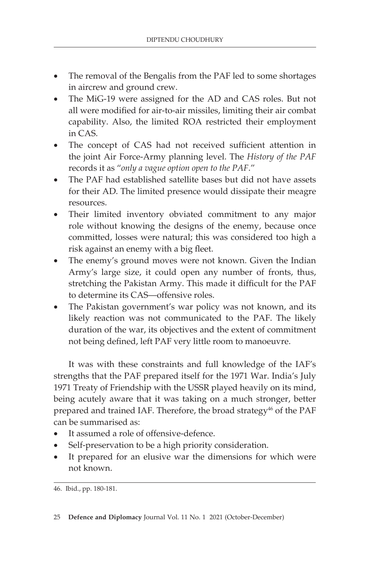- The removal of the Bengalis from the PAF led to some shortages in aircrew and ground crew.
- The MiG-19 were assigned for the AD and CAS roles. But not all were modified for air-to-air missiles, limiting their air combat capability. Also, the limited ROA restricted their employment in CAS.
- The concept of CAS had not received sufficient attention in the joint Air Force-Army planning level. The *History of the PAF* records it as "*only a vague option open to the PAF*."
- The PAF had established satellite bases but did not have assets for their AD. The limited presence would dissipate their meagre resources.
- Their limited inventory obviated commitment to any major role without knowing the designs of the enemy, because once committed, losses were natural; this was considered too high a risk against an enemy with a big fleet.
- The enemy's ground moves were not known. Given the Indian Army's large size, it could open any number of fronts, thus, stretching the Pakistan Army. This made it difficult for the PAF to determine its CAS—offensive roles.
- The Pakistan government's war policy was not known, and its likely reaction was not communicated to the PAF. The likely duration of the war, its objectives and the extent of commitment not being defined, left PAF very little room to manoeuvre.

It was with these constraints and full knowledge of the IAF's strengths that the PAF prepared itself for the 1971 War. India's July 1971 Treaty of Friendship with the USSR played heavily on its mind, being acutely aware that it was taking on a much stronger, better prepared and trained IAF. Therefore, the broad strategy<sup>46</sup> of the PAF can be summarised as:

- It assumed a role of offensive-defence.
- Self-preservation to be a high priority consideration.
- It prepared for an elusive war the dimensions for which were not known.

46. Ibid., pp. 180-181.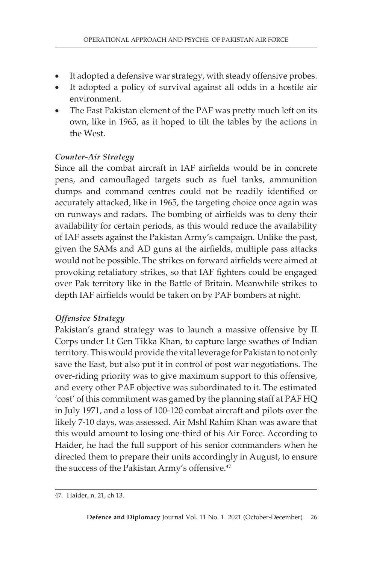- It adopted a defensive war strategy, with steady offensive probes.
- It adopted a policy of survival against all odds in a hostile air environment.
- The East Pakistan element of the PAF was pretty much left on its own, like in 1965, as it hoped to tilt the tables by the actions in the West.

## *Counter-Air Strategy*

Since all the combat aircraft in IAF airfields would be in concrete pens, and camouflaged targets such as fuel tanks, ammunition dumps and command centres could not be readily identified or accurately attacked, like in 1965, the targeting choice once again was on runways and radars. The bombing of airfields was to deny their availability for certain periods, as this would reduce the availability of IAF assets against the Pakistan Army's campaign. Unlike the past, given the SAMs and AD guns at the airfields, multiple pass attacks would not be possible. The strikes on forward airfields were aimed at provoking retaliatory strikes, so that IAF fighters could be engaged over Pak territory like in the Battle of Britain. Meanwhile strikes to depth IAF airfields would be taken on by PAF bombers at night.

# *Offensive Strategy*

Pakistan's grand strategy was to launch a massive offensive by II Corps under Lt Gen Tikka Khan, to capture large swathes of Indian territory. This would provide the vital leverage for Pakistan to not only save the East, but also put it in control of post war negotiations. The over-riding priority was to give maximum support to this offensive, and every other PAF objective was subordinated to it. The estimated 'cost' of this commitment was gamed by the planning staff at PAF HQ in July 1971, and a loss of 100-120 combat aircraft and pilots over the likely 7-10 days, was assessed. Air Mshl Rahim Khan was aware that this would amount to losing one-third of his Air Force. According to Haider, he had the full support of his senior commanders when he directed them to prepare their units accordingly in August, to ensure the success of the Pakistan Army's offensive.<sup>47</sup>

<sup>47.</sup> Haider, n. 21, ch 13.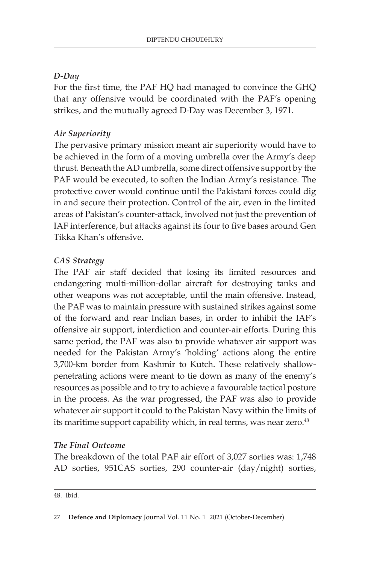# *D-Day*

For the first time, the PAF HQ had managed to convince the GHQ that any offensive would be coordinated with the PAF's opening strikes, and the mutually agreed D-Day was December 3, 1971.

# *Air Superiority*

The pervasive primary mission meant air superiority would have to be achieved in the form of a moving umbrella over the Army's deep thrust. Beneath the AD umbrella, some direct offensive support by the PAF would be executed, to soften the Indian Army's resistance. The protective cover would continue until the Pakistani forces could dig in and secure their protection. Control of the air, even in the limited areas of Pakistan's counter-attack, involved not just the prevention of IAF interference, but attacks against its four to five bases around Gen Tikka Khan's offensive.

# *CAS Strategy*

The PAF air staff decided that losing its limited resources and endangering multi-million-dollar aircraft for destroying tanks and other weapons was not acceptable, until the main offensive. Instead, the PAF was to maintain pressure with sustained strikes against some of the forward and rear Indian bases, in order to inhibit the IAF's offensive air support, interdiction and counter-air efforts. During this same period, the PAF was also to provide whatever air support was needed for the Pakistan Army's 'holding' actions along the entire 3,700-km border from Kashmir to Kutch. These relatively shallowpenetrating actions were meant to tie down as many of the enemy's resources as possible and to try to achieve a favourable tactical posture in the process. As the war progressed, the PAF was also to provide whatever air support it could to the Pakistan Navy within the limits of its maritime support capability which, in real terms, was near zero.<sup>48</sup>

# *The Final Outcome*

The breakdown of the total PAF air effort of 3,027 sorties was: 1,748 AD sorties, 951CAS sorties, 290 counter-air (day/night) sorties,

48. Ibid.

<sup>27</sup> **Defence and Diplomacy** Journal Vol. 11 No. 1 2021 (October-December)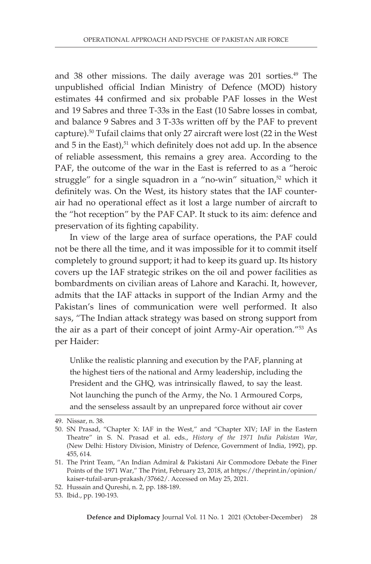and 38 other missions. The daily average was 201 sorties.<sup>49</sup> The unpublished official Indian Ministry of Defence (MOD) history estimates 44 confirmed and six probable PAF losses in the West and 19 Sabres and three T-33s in the East (10 Sabre losses in combat, and balance 9 Sabres and 3 T-33s written off by the PAF to prevent capture).50 Tufail claims that only 27 aircraft were lost (22 in the West and  $5$  in the East), $51$  which definitely does not add up. In the absence of reliable assessment, this remains a grey area. According to the PAF, the outcome of the war in the East is referred to as a "heroic struggle" for a single squadron in a "no-win" situation,<sup>52</sup> which it definitely was. On the West, its history states that the IAF counterair had no operational effect as it lost a large number of aircraft to the "hot reception" by the PAF CAP. It stuck to its aim: defence and preservation of its fighting capability.

In view of the large area of surface operations, the PAF could not be there all the time, and it was impossible for it to commit itself completely to ground support; it had to keep its guard up. Its history covers up the IAF strategic strikes on the oil and power facilities as bombardments on civilian areas of Lahore and Karachi. It, however, admits that the IAF attacks in support of the Indian Army and the Pakistan's lines of communication were well performed. It also says, "The Indian attack strategy was based on strong support from the air as a part of their concept of joint Army-Air operation."53 As per Haider:

Unlike the realistic planning and execution by the PAF, planning at the highest tiers of the national and Army leadership, including the President and the GHQ, was intrinsically flawed, to say the least. Not launching the punch of the Army, the No. 1 Armoured Corps, and the senseless assault by an unprepared force without air cover

<sup>49.</sup> Nissar, n. 38.

<sup>50.</sup> SN Prasad, "Chapter X: IAF in the West," and "Chapter XIV; IAF in the Eastern Theatre" in S. N. Prasad et al. eds., *History of the 1971 India Pakistan War,* (New Delhi: History Division, Ministry of Defence, Government of India, 1992), pp. 455, 614.

<sup>51.</sup> The Print Team, "An Indian Admiral & Pakistani Air Commodore Debate the Finer Points of the 1971 War," The Print, February 23, 2018, at https://theprint.in/opinion/ kaiser-tufail-arun-prakash/37662/. Accessed on May 25, 2021.

<sup>52.</sup> Hussain and Qureshi, n. 2, pp. 188-189.

<sup>53.</sup> Ibid., pp. 190-193.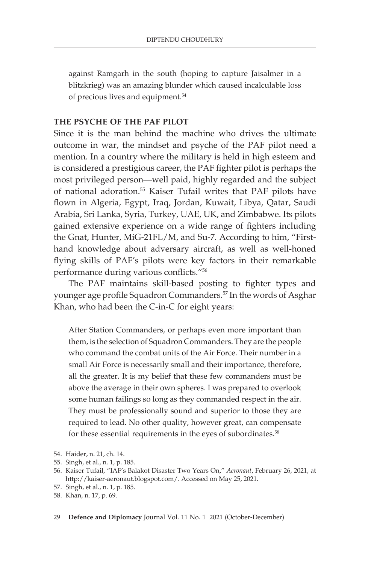against Ramgarh in the south (hoping to capture Jaisalmer in a blitzkrieg) was an amazing blunder which caused incalculable loss of precious lives and equipment.54

#### **THE PSYCHE OF THE PAF PILOT**

Since it is the man behind the machine who drives the ultimate outcome in war, the mindset and psyche of the PAF pilot need a mention. In a country where the military is held in high esteem and is considered a prestigious career, the PAF fighter pilot is perhaps the most privileged person—well paid, highly regarded and the subject of national adoration.55 Kaiser Tufail writes that PAF pilots have flown in Algeria, Egypt, Iraq, Jordan, Kuwait, Libya, Qatar, Saudi Arabia, Sri Lanka, Syria, Turkey, UAE, UK, and Zimbabwe. Its pilots gained extensive experience on a wide range of fighters including the Gnat, Hunter, MiG-21FL/M, and Su-7*.* According to him, "Firsthand knowledge about adversary aircraft, as well as well-honed flying skills of PAF's pilots were key factors in their remarkable performance during various conflicts."<sup>56</sup>

The PAF maintains skill-based posting to fighter types and younger age profile Squadron Commanders.<sup>57</sup> In the words of Asghar Khan, who had been the C-in-C for eight years:

After Station Commanders, or perhaps even more important than them, is the selection of Squadron Commanders. They are the people who command the combat units of the Air Force. Their number in a small Air Force is necessarily small and their importance, therefore, all the greater. It is my belief that these few commanders must be above the average in their own spheres. I was prepared to overlook some human failings so long as they commanded respect in the air. They must be professionally sound and superior to those they are required to lead. No other quality, however great, can compensate for these essential requirements in the eyes of subordinates.<sup>58</sup>

<sup>54.</sup> Haider, n. 21, ch. 14.

<sup>55.</sup> Singh, et al., n. 1, p. 185.

<sup>56.</sup> Kaiser Tufail, "IAF's Balakot Disaster Two Years On," *Aeronaut*, February 26, 2021, at http://kaiser-aeronaut.blogspot.com/. Accessed on May 25, 2021.

<sup>57.</sup> Singh, et al., n. 1, p. 185.

<sup>58.</sup> Khan, n. 17, p. 69.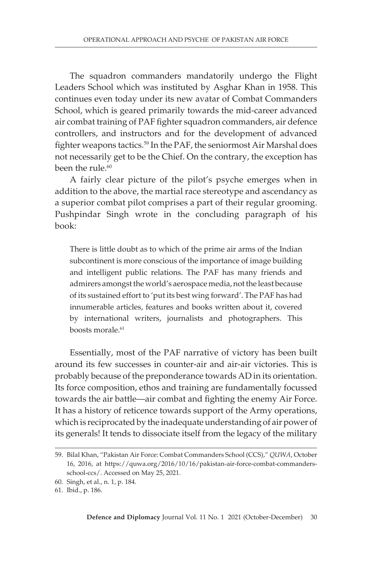The squadron commanders mandatorily undergo the Flight Leaders School which was instituted by Asghar Khan in 1958. This continues even today under its new avatar of Combat Commanders School, which is geared primarily towards the mid-career advanced air combat training of PAF fighter squadron commanders, air defence controllers, and instructors and for the development of advanced fighter weapons tactics.59 In the PAF, the seniormost Air Marshal does not necessarily get to be the Chief. On the contrary, the exception has been the rule.<sup>60</sup>

A fairly clear picture of the pilot's psyche emerges when in addition to the above, the martial race stereotype and ascendancy as a superior combat pilot comprises a part of their regular grooming. Pushpindar Singh wrote in the concluding paragraph of his book:

There is little doubt as to which of the prime air arms of the Indian subcontinent is more conscious of the importance of image building and intelligent public relations. The PAF has many friends and admirers amongst the world's aerospace media, not the least because of its sustained effort to 'put its best wing forward'. The PAF has had innumerable articles, features and books written about it, covered by international writers, journalists and photographers. This boosts morale.<sup>61</sup>

Essentially, most of the PAF narrative of victory has been built around its few successes in counter-air and air-air victories. This is probably because of the preponderance towards AD in its orientation. Its force composition, ethos and training are fundamentally focussed towards the air battle—air combat and fighting the enemy Air Force. It has a history of reticence towards support of the Army operations, which is reciprocated by the inadequate understanding of air power of its generals! It tends to dissociate itself from the legacy of the military

<sup>59.</sup> Bilal Khan, "Pakistan Air Force: Combat Commanders School (CCS)," *QUWA*, October 16, 2016, at https://quwa.org/2016/10/16/pakistan-air-force-combat-commandersschool-ccs/. Accessed on May 25, 2021.

<sup>60.</sup> Singh, et al., n. 1, p. 184.

<sup>61.</sup> Ibid., p. 186.